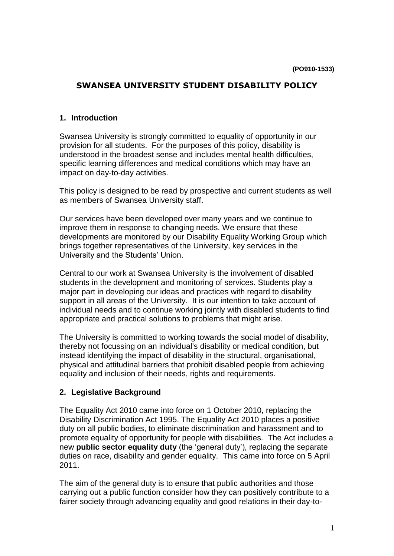# **SWANSEA UNIVERSITY STUDENT DISABILITY POLICY**

#### **1. Introduction**

Swansea University is strongly committed to equality of opportunity in our provision for all students. For the purposes of this policy, disability is understood in the broadest sense and includes mental health difficulties, specific learning differences and medical conditions which may have an impact on day-to-day activities.

This policy is designed to be read by prospective and current students as well as members of Swansea University staff.

Our services have been developed over many years and we continue to improve them in response to changing needs. We ensure that these developments are monitored by our Disability Equality Working Group which brings together representatives of the University, key services in the University and the Students' Union.

Central to our work at Swansea University is the involvement of disabled students in the development and monitoring of services. Students play a major part in developing our ideas and practices with regard to disability support in all areas of the University. It is our intention to take account of individual needs and to continue working jointly with disabled students to find appropriate and practical solutions to problems that might arise.

The University is committed to working towards the social model of disability, thereby not focussing on an individual's disability or medical condition, but instead identifying the impact of disability in the structural, organisational, physical and attitudinal barriers that prohibit disabled people from achieving equality and inclusion of their needs, rights and requirements.

#### **2. Legislative Background**

The Equality Act 2010 came into force on 1 October 2010, replacing the Disability Discrimination Act 1995. The Equality Act 2010 places a positive duty on all public bodies, to eliminate discrimination and harassment and to promote equality of opportunity for people with disabilities. The Act includes a new **public sector equality duty** (the 'general duty'), replacing the separate duties on race, disability and gender equality. This came into force on 5 April 2011.

The aim of the general duty is to ensure that public authorities and those carrying out a public function consider how they can positively contribute to a fairer society through advancing equality and good relations in their day-to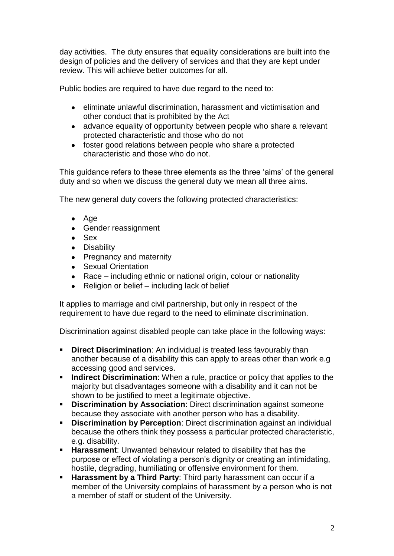day activities. The duty ensures that equality considerations are built into the design of policies and the delivery of services and that they are kept under review. This will achieve better outcomes for all.

Public bodies are required to have due regard to the need to:

- eliminate unlawful discrimination, harassment and victimisation and other conduct that is prohibited by the Act
- advance equality of opportunity between people who share a relevant protected characteristic and those who do not
- foster good relations between people who share a protected characteristic and those who do not.

This guidance refers to these three elements as the three 'aims' of the general duty and so when we discuss the general duty we mean all three aims.

The new general duty covers the following protected characteristics:

- $\bullet$  Age
- Gender reassignment
- Sex
- Disability
- Pregnancy and maternity
- Sexual Orientation
- Race including ethnic or national origin, colour or nationality
- Religion or belief including lack of belief  $\bullet$

It applies to marriage and civil partnership, but only in respect of the requirement to have due regard to the need to eliminate discrimination.

Discrimination against disabled people can take place in the following ways:

- **Direct Discrimination:** An individual is treated less favourably than another because of a disability this can apply to areas other than work e.g accessing good and services.
- **Indirect Discrimination**: When a rule, practice or policy that applies to the majority but disadvantages someone with a disability and it can not be shown to be justified to meet a legitimate objective.
- **Discrimination by Association**: Direct discrimination against someone because they associate with another person who has a disability.
- **Discrimination by Perception**: Direct discrimination against an individual because the others think they possess a particular protected characteristic, e.g. disability.
- **Harassment**: Unwanted behaviour related to disability that has the purpose or effect of violating a person's dignity or creating an intimidating, hostile, degrading, humiliating or offensive environment for them.
- **Harassment by a Third Party:** Third party harassment can occur if a member of the University complains of harassment by a person who is not a member of staff or student of the University.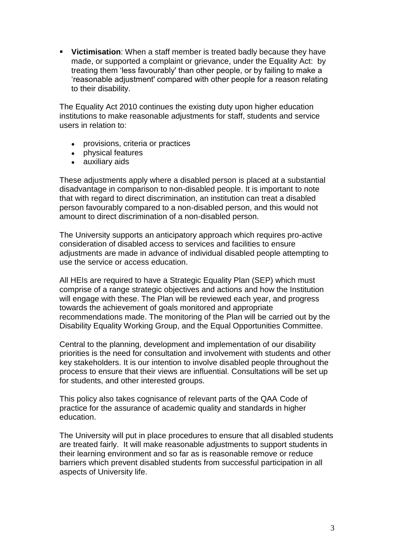**Victimisation**: When a staff member is treated badly because they have made, or supported a complaint or grievance, under the Equality Act: by treating them 'less favourably' than other people, or by failing to make a 'reasonable adjustment' compared with other people for a reason relating to their disability.

The Equality Act 2010 continues the existing duty upon higher education institutions to make reasonable adjustments for staff, students and service users in relation to:

- provisions, criteria or practices
- physical features
- auxiliary aids

These adjustments apply where a disabled person is placed at a substantial disadvantage in comparison to non-disabled people. It is important to note that with regard to direct discrimination, an institution can treat a disabled person favourably compared to a non-disabled person, and this would not amount to direct discrimination of a non-disabled person.

The University supports an anticipatory approach which requires pro-active consideration of disabled access to services and facilities to ensure adjustments are made in advance of individual disabled people attempting to use the service or access education.

All HEIs are required to have a Strategic Equality Plan (SEP) which must comprise of a range strategic objectives and actions and how the Institution will engage with these. The Plan will be reviewed each year, and progress towards the achievement of goals monitored and appropriate recommendations made. The monitoring of the Plan will be carried out by the Disability Equality Working Group, and the Equal Opportunities Committee.

Central to the planning, development and implementation of our disability priorities is the need for consultation and involvement with students and other key stakeholders. It is our intention to involve disabled people throughout the process to ensure that their views are influential. Consultations will be set up for students, and other interested groups.

This policy also takes cognisance of relevant parts of the QAA Code of practice for the assurance of academic quality and standards in higher education.

The University will put in place procedures to ensure that all disabled students are treated fairly. It will make reasonable adjustments to support students in their learning environment and so far as is reasonable remove or reduce barriers which prevent disabled students from successful participation in all aspects of University life.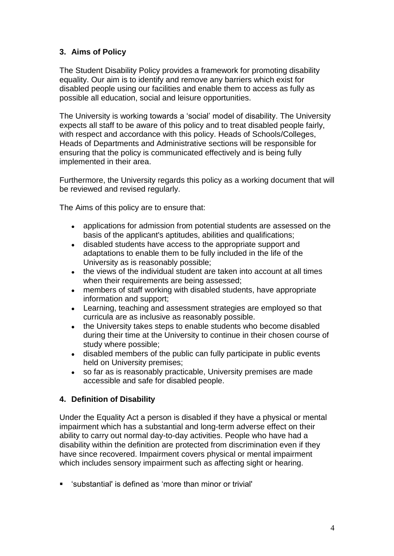# **3. Aims of Policy**

The Student Disability Policy provides a framework for promoting disability equality. Our aim is to identify and remove any barriers which exist for disabled people using our facilities and enable them to access as fully as possible all education, social and leisure opportunities.

The University is working towards a 'social' model of disability. The University expects all staff to be aware of this policy and to treat disabled people fairly, with respect and accordance with this policy. Heads of Schools/Colleges, Heads of Departments and Administrative sections will be responsible for ensuring that the policy is communicated effectively and is being fully implemented in their area.

Furthermore, the University regards this policy as a working document that will be reviewed and revised regularly.

The Aims of this policy are to ensure that:

- $\bullet$ applications for admission from potential students are assessed on the basis of the applicant's aptitudes, abilities and qualifications;
- disabled students have access to the appropriate support and  $\bullet$ adaptations to enable them to be fully included in the life of the University as is reasonably possible;
- $\bullet$ the views of the individual student are taken into account at all times when their requirements are being assessed:
- members of staff working with disabled students, have appropriate  $\bullet$ information and support;
- $\bullet$ Learning, teaching and assessment strategies are employed so that curricula are as inclusive as reasonably possible.
- the University takes steps to enable students who become disabled  $\bullet$ during their time at the University to continue in their chosen course of study where possible;
- disabled members of the public can fully participate in public events held on University premises;
- so far as is reasonably practicable, University premises are made  $\bullet$ accessible and safe for disabled people.

## **4. Definition of Disability**

Under the Equality Act a person is disabled if they have a physical or mental impairment which has a substantial and long-term adverse effect on their ability to carry out normal day-to-day activities. People who have had a disability within the definition are protected from discrimination even if they have since recovered. Impairment covers physical or mental impairment which includes sensory impairment such as affecting sight or hearing.

'substantial' is defined as 'more than minor or trivial'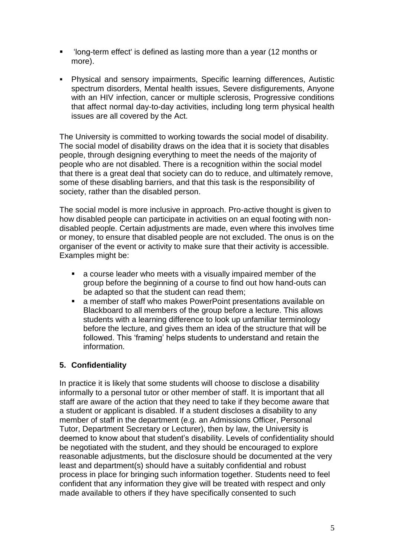- 'long-term effect' is defined as lasting more than a year (12 months or more).
- Physical and sensory impairments, Specific learning differences, Autistic spectrum disorders, Mental health issues, Severe disfigurements, Anyone with an HIV infection, cancer or multiple sclerosis, Progressive conditions that affect normal day-to-day activities, including long term physical health issues are all covered by the Act.

The University is committed to working towards the social model of disability. The social model of disability draws on the idea that it is society that disables people, through designing everything to meet the needs of the majority of people who are not disabled. There is a recognition within the social model that there is a great deal that society can do to reduce, and ultimately remove, some of these disabling barriers, and that this task is the responsibility of society, rather than the disabled person.

The social model is more inclusive in approach. Pro-active thought is given to how disabled people can participate in activities on an equal footing with nondisabled people. Certain adjustments are made, even where this involves time or money, to ensure that disabled people are not excluded. The onus is on the organiser of the event or activity to make sure that their activity is accessible. Examples might be:

- a course leader who meets with a visually impaired member of the group before the beginning of a course to find out how hand-outs can be adapted so that the student can read them;
- a member of staff who makes PowerPoint presentations available on Blackboard to all members of the group before a lecture. This allows students with a learning difference to look up unfamiliar terminology before the lecture, and gives them an idea of the structure that will be followed. This 'framing' helps students to understand and retain the information.

## **5. Confidentiality**

In practice it is likely that some students will choose to disclose a disability informally to a personal tutor or other member of staff. It is important that all staff are aware of the action that they need to take if they become aware that a student or applicant is disabled. If a student discloses a disability to any member of staff in the department (e.g. an Admissions Officer, Personal Tutor, Department Secretary or Lecturer), then by law, the University is deemed to know about that student's disability. Levels of confidentiality should be negotiated with the student, and they should be encouraged to explore reasonable adjustments, but the disclosure should be documented at the very least and department(s) should have a suitably confidential and robust process in place for bringing such information together. Students need to feel confident that any information they give will be treated with respect and only made available to others if they have specifically consented to such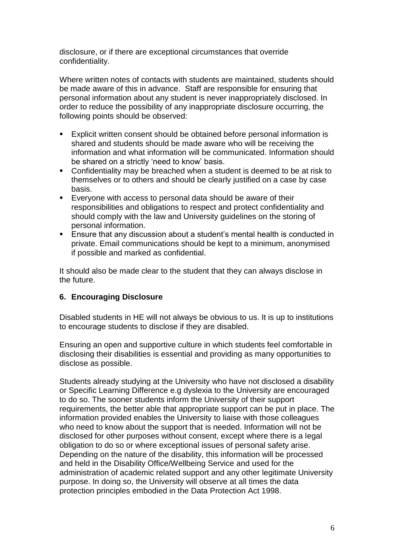disclosure, or if there are exceptional circumstances that override confidentiality.

Where written notes of contacts with students are maintained, students should be made aware of this in advance. Staff are responsible for ensuring that personal information about any student is never inappropriately disclosed. In order to reduce the possibility of any inappropriate disclosure occurring, the following points should be observed:

- Explicit written consent should be obtained before personal information is shared and students should be made aware who will be receiving the information and what information will be communicated. Information should be shared on a strictly 'need to know' basis.
- **Confidentiality may be breached when a student is deemed to be at risk to** themselves or to others and should be clearly justified on a case by case basis.
- Everyone with access to personal data should be aware of their responsibilities and obligations to respect and protect confidentiality and should comply with the law and University guidelines on the storing of personal information.
- **Ensure that any discussion about a student's mental health is conducted in** private. Email communications should be kept to a minimum, anonymised if possible and marked as confidential.

It should also be made clear to the student that they can always disclose in the future.

## **6. Encouraging Disclosure**

Disabled students in HE will not always be obvious to us. It is up to institutions to encourage students to disclose if they are disabled.

Ensuring an open and supportive culture in which students feel comfortable in disclosing their disabilities is essential and providing as many opportunities to disclose as possible.

Students already studying at the University who have not disclosed a disability or Specific Learning Difference e.g dyslexia to the University are encouraged to do so. The sooner students inform the University of their support requirements, the better able that appropriate support can be put in place. The information provided enables the University to liaise with those colleagues who need to know about the support that is needed. Information will not be disclosed for other purposes without consent, except where there is a legal obligation to do so or where exceptional issues of personal safety arise. Depending on the nature of the disability, this information will be processed and held in the Disability Office/Wellbeing Service and used for the administration of academic related support and any other legitimate University purpose. In doing so, the University will observe at all times the data protection principles embodied in the Data Protection Act 1998.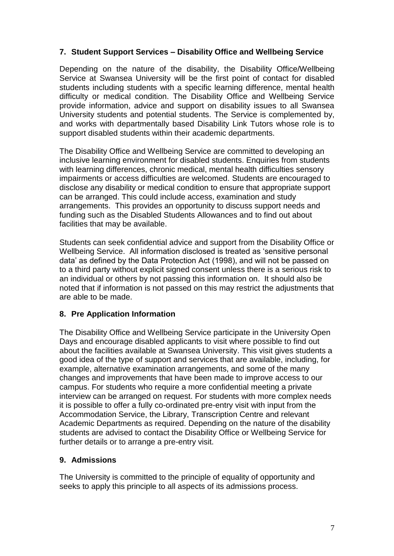## **7. Student Support Services – Disability Office and Wellbeing Service**

Depending on the nature of the disability, the Disability Office/Wellbeing Service at Swansea University will be the first point of contact for disabled students including students with a specific learning difference, mental health difficulty or medical condition. The Disability Office and Wellbeing Service provide information, advice and support on disability issues to all Swansea University students and potential students. The Service is complemented by, and works with departmentally based Disability Link Tutors whose role is to support disabled students within their academic departments.

The Disability Office and Wellbeing Service are committed to developing an inclusive learning environment for disabled students. Enquiries from students with learning differences, chronic medical, mental health difficulties sensory impairments or access difficulties are welcomed. Students are encouraged to disclose any disability or medical condition to ensure that appropriate support can be arranged. This could include access, examination and study arrangements. This provides an opportunity to discuss support needs and funding such as the Disabled Students Allowances and to find out about facilities that may be available.

Students can seek confidential advice and support from the Disability Office or Wellbeing Service. All information disclosed is treated as 'sensitive personal data' as defined by the Data Protection Act (1998), and will not be passed on to a third party without explicit signed consent unless there is a serious risk to an individual or others by not passing this information on. It should also be noted that if information is not passed on this may restrict the adjustments that are able to be made.

#### **8. Pre Application Information**

The Disability Office and Wellbeing Service participate in the University Open Days and encourage disabled applicants to visit where possible to find out about the facilities available at Swansea University. This visit gives students a good idea of the type of support and services that are available, including, for example, alternative examination arrangements, and some of the many changes and improvements that have been made to improve access to our campus. For students who require a more confidential meeting a private interview can be arranged on request. For students with more complex needs it is possible to offer a fully co-ordinated pre-entry visit with input from the Accommodation Service, the Library, Transcription Centre and relevant Academic Departments as required. Depending on the nature of the disability students are advised to contact the Disability Office or Wellbeing Service for further details or to arrange a pre-entry visit.

## **9. Admissions**

The University is committed to the principle of equality of opportunity and seeks to apply this principle to all aspects of its admissions process.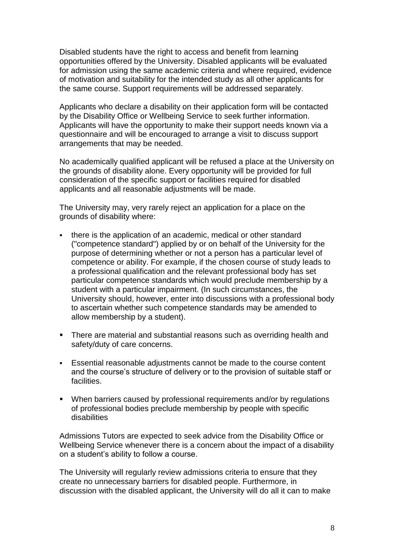Disabled students have the right to access and benefit from learning opportunities offered by the University. Disabled applicants will be evaluated for admission using the same academic criteria and where required, evidence of motivation and suitability for the intended study as all other applicants for the same course. Support requirements will be addressed separately.

Applicants who declare a disability on their application form will be contacted by the Disability Office or Wellbeing Service to seek further information. Applicants will have the opportunity to make their support needs known via a questionnaire and will be encouraged to arrange a visit to discuss support arrangements that may be needed.

No academically qualified applicant will be refused a place at the University on the grounds of disability alone. Every opportunity will be provided for full consideration of the specific support or facilities required for disabled applicants and all reasonable adjustments will be made.

The University may, very rarely reject an application for a place on the grounds of disability where:

- there is the application of an academic, medical or other standard ("competence standard") applied by or on behalf of the University for the purpose of determining whether or not a person has a particular level of competence or ability. For example, if the chosen course of study leads to a professional qualification and the relevant professional body has set particular competence standards which would preclude membership by a student with a particular impairment. (In such circumstances, the University should, however, enter into discussions with a professional body to ascertain whether such competence standards may be amended to allow membership by a student).
- There are material and substantial reasons such as overriding health and safety/duty of care concerns.
- Essential reasonable adjustments cannot be made to the course content and the course's structure of delivery or to the provision of suitable staff or facilities.
- When barriers caused by professional requirements and/or by regulations of professional bodies preclude membership by people with specific disabilities

Admissions Tutors are expected to seek advice from the Disability Office or Wellbeing Service whenever there is a concern about the impact of a disability on a student's ability to follow a course.

The University will regularly review admissions criteria to ensure that they create no unnecessary barriers for disabled people. Furthermore, in discussion with the disabled applicant, the University will do all it can to make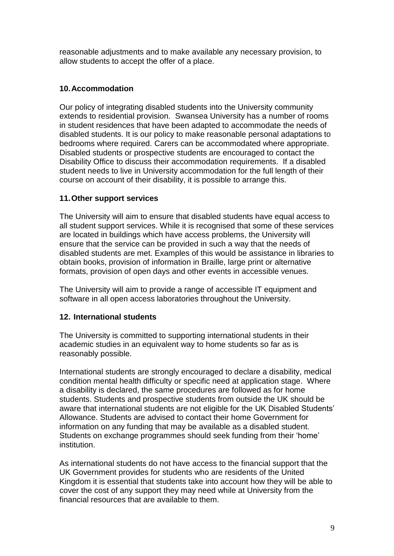reasonable adjustments and to make available any necessary provision, to allow students to accept the offer of a place.

# **10.Accommodation**

Our policy of integrating disabled students into the University community extends to residential provision. Swansea University has a number of rooms in student residences that have been adapted to accommodate the needs of disabled students. It is our policy to make reasonable personal adaptations to bedrooms where required. Carers can be accommodated where appropriate. Disabled students or prospective students are encouraged to contact the Disability Office to discuss their accommodation requirements. If a disabled student needs to live in University accommodation for the full length of their course on account of their disability, it is possible to arrange this.

## **11.Other support services**

The University will aim to ensure that disabled students have equal access to all student support services. While it is recognised that some of these services are located in buildings which have access problems, the University will ensure that the service can be provided in such a way that the needs of disabled students are met. Examples of this would be assistance in libraries to obtain books, provision of information in Braille, large print or alternative formats, provision of open days and other events in accessible venues.

The University will aim to provide a range of accessible IT equipment and software in all open access laboratories throughout the University.

# **12. International students**

The University is committed to supporting international students in their academic studies in an equivalent way to home students so far as is reasonably possible.

International students are strongly encouraged to declare a disability, medical condition mental health difficulty or specific need at application stage. Where a disability is declared, the same procedures are followed as for home students. Students and prospective students from outside the UK should be aware that international students are not eligible for the UK Disabled Students' Allowance. Students are advised to contact their home Government for information on any funding that may be available as a disabled student. Students on exchange programmes should seek funding from their 'home' institution.

As international students do not have access to the financial support that the UK Government provides for students who are residents of the United Kingdom it is essential that students take into account how they will be able to cover the cost of any support they may need while at University from the financial resources that are available to them.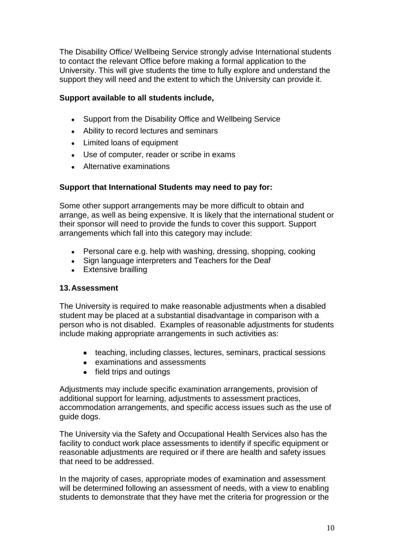The Disability Office/ Wellbeing Service strongly advise International students to contact the relevant Office before making a formal application to the University. This will give students the time to fully explore and understand the support they will need and the extent to which the University can provide it.

### **Support available to all students include,**

- Support from the Disability Office and Wellbeing Service  $\bullet$
- Ability to record lectures and seminars
- Limited loans of equipment
- Use of computer, reader or scribe in exams
- Alternative examinations

### **Support that International Students may need to pay for:**

Some other support arrangements may be more difficult to obtain and arrange, as well as being expensive. It is likely that the international student or their sponsor will need to provide the funds to cover this support. Support arrangements which fall into this category may include:

- Personal care e.g. help with washing, dressing, shopping, cooking
- Sign language interpreters and Teachers for the Deaf
- Extensive brailling

#### **13.Assessment**

The University is required to make reasonable adjustments when a disabled student may be placed at a substantial disadvantage in comparison with a person who is not disabled. Examples of reasonable adjustments for students include making appropriate arrangements in such activities as:

- teaching, including classes, lectures, seminars, practical sessions
- examinations and assessments
- field trips and outings

Adjustments may include specific examination arrangements, provision of additional support for learning, adjustments to assessment practices, accommodation arrangements, and specific access issues such as the use of guide dogs.

The University via the Safety and Occupational Health Services also has the facility to conduct work place assessments to identify if specific equipment or reasonable adjustments are required or if there are health and safety issues that need to be addressed.

In the majority of cases, appropriate modes of examination and assessment will be determined following an assessment of needs, with a view to enabling students to demonstrate that they have met the criteria for progression or the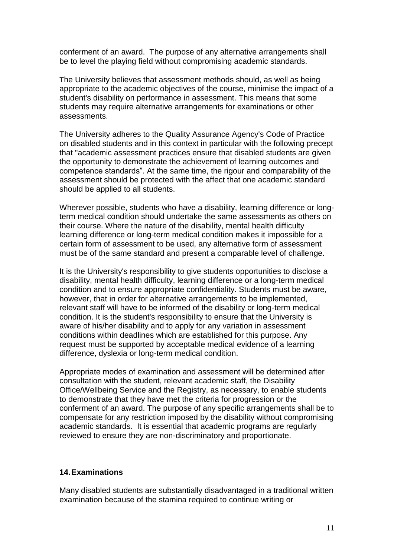conferment of an award. The purpose of any alternative arrangements shall be to level the playing field without compromising academic standards.

The University believes that assessment methods should, as well as being appropriate to the academic objectives of the course, minimise the impact of a student's disability on performance in assessment. This means that some students may require alternative arrangements for examinations or other assessments.

The University adheres to the Quality Assurance Agency's Code of Practice on disabled students and in this context in particular with the following precept that "academic assessment practices ensure that disabled students are given the opportunity to demonstrate the achievement of learning outcomes and competence standards". At the same time, the rigour and comparability of the assessment should be protected with the affect that one academic standard should be applied to all students.

Wherever possible, students who have a disability, learning difference or longterm medical condition should undertake the same assessments as others on their course. Where the nature of the disability, mental health difficulty learning difference or long-term medical condition makes it impossible for a certain form of assessment to be used, any alternative form of assessment must be of the same standard and present a comparable level of challenge.

It is the University's responsibility to give students opportunities to disclose a disability, mental health difficulty, learning difference or a long-term medical condition and to ensure appropriate confidentiality. Students must be aware, however, that in order for alternative arrangements to be implemented, relevant staff will have to be informed of the disability or long-term medical condition. It is the student's responsibility to ensure that the University is aware of his/her disability and to apply for any variation in assessment conditions within deadlines which are established for this purpose. Any request must be supported by acceptable medical evidence of a learning difference, dyslexia or long-term medical condition.

Appropriate modes of examination and assessment will be determined after consultation with the student, relevant academic staff, the Disability Office/Wellbeing Service and the Registry, as necessary, to enable students to demonstrate that they have met the criteria for progression or the conferment of an award. The purpose of any specific arrangements shall be to compensate for any restriction imposed by the disability without compromising academic standards. It is essential that academic programs are regularly reviewed to ensure they are non-discriminatory and proportionate.

#### **14.Examinations**

Many disabled students are substantially disadvantaged in a traditional written examination because of the stamina required to continue writing or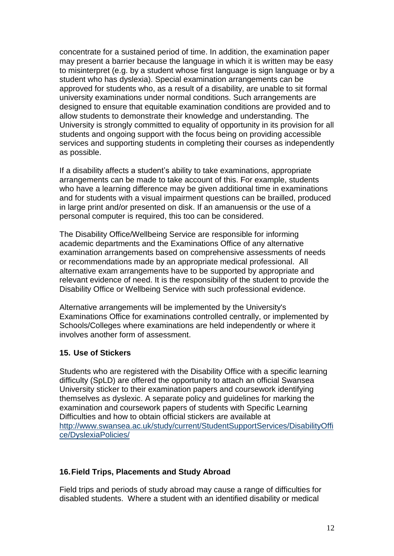concentrate for a sustained period of time. In addition, the examination paper may present a barrier because the language in which it is written may be easy to misinterpret (e.g. by a student whose first language is sign language or by a student who has dyslexia). Special examination arrangements can be approved for students who, as a result of a disability, are unable to sit formal university examinations under normal conditions. Such arrangements are designed to ensure that equitable examination conditions are provided and to allow students to demonstrate their knowledge and understanding. The University is strongly committed to equality of opportunity in its provision for all students and ongoing support with the focus being on providing accessible services and supporting students in completing their courses as independently as possible.

If a disability affects a student's ability to take examinations, appropriate arrangements can be made to take account of this. For example, students who have a learning difference may be given additional time in examinations and for students with a visual impairment questions can be brailled, produced in large print and/or presented on disk. If an amanuensis or the use of a personal computer is required, this too can be considered.

The Disability Office/Wellbeing Service are responsible for informing academic departments and the Examinations Office of any alternative examination arrangements based on comprehensive assessments of needs or recommendations made by an appropriate medical professional. All alternative exam arrangements have to be supported by appropriate and relevant evidence of need. It is the responsibility of the student to provide the Disability Office or Wellbeing Service with such professional evidence.

Alternative arrangements will be implemented by the University's Examinations Office for examinations controlled centrally, or implemented by Schools/Colleges where examinations are held independently or where it involves another form of assessment.

#### **15. Use of Stickers**

Students who are registered with the Disability Office with a specific learning difficulty (SpLD) are offered the opportunity to attach an official Swansea University sticker to their examination papers and coursework identifying themselves as dyslexic. A separate policy and guidelines for marking the examination and coursework papers of students with Specific Learning Difficulties and how to obtain official stickers are available at [http://www.swansea.ac.uk/study/current/StudentSupportServices/DisabilityOffi](http://www.swansea.ac.uk/study/current/StudentSupportServices/DisabilityOffice/DyslexiaPolicies/) [ce/DyslexiaPolicies/](http://www.swansea.ac.uk/study/current/StudentSupportServices/DisabilityOffice/DyslexiaPolicies/)

## **16.Field Trips, Placements and Study Abroad**

Field trips and periods of study abroad may cause a range of difficulties for disabled students. Where a student with an identified disability or medical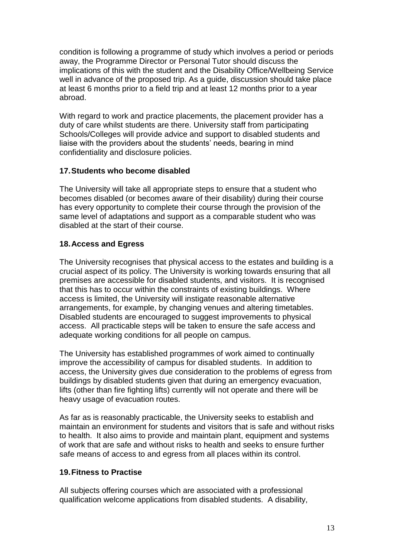condition is following a programme of study which involves a period or periods away, the Programme Director or Personal Tutor should discuss the implications of this with the student and the Disability Office/Wellbeing Service well in advance of the proposed trip. As a guide, discussion should take place at least 6 months prior to a field trip and at least 12 months prior to a year abroad.

With regard to work and practice placements, the placement provider has a duty of care whilst students are there. University staff from participating Schools/Colleges will provide advice and support to disabled students and liaise with the providers about the students' needs, bearing in mind confidentiality and disclosure policies.

## **17.Students who become disabled**

The University will take all appropriate steps to ensure that a student who becomes disabled (or becomes aware of their disability) during their course has every opportunity to complete their course through the provision of the same level of adaptations and support as a comparable student who was disabled at the start of their course.

## **18.Access and Egress**

The University recognises that physical access to the estates and building is a crucial aspect of its policy. The University is working towards ensuring that all premises are accessible for disabled students, and visitors. It is recognised that this has to occur within the constraints of existing buildings. Where access is limited, the University will instigate reasonable alternative arrangements, for example, by changing venues and altering timetables. Disabled students are encouraged to suggest improvements to physical access. All practicable steps will be taken to ensure the safe access and adequate working conditions for all people on campus.

The University has established programmes of work aimed to continually improve the accessibility of campus for disabled students. In addition to access, the University gives due consideration to the problems of egress from buildings by disabled students given that during an emergency evacuation, lifts (other than fire fighting lifts) currently will not operate and there will be heavy usage of evacuation routes.

As far as is reasonably practicable, the University seeks to establish and maintain an environment for students and visitors that is safe and without risks to health. It also aims to provide and maintain plant, equipment and systems of work that are safe and without risks to health and seeks to ensure further safe means of access to and egress from all places within its control.

## **19.Fitness to Practise**

All subjects offering courses which are associated with a professional qualification welcome applications from disabled students. A disability,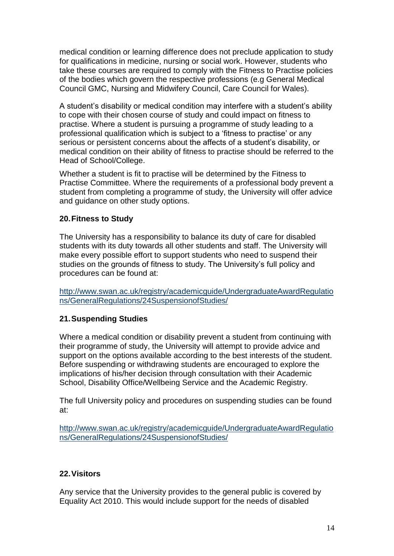medical condition or learning difference does not preclude application to study for qualifications in medicine, nursing or social work. However, students who take these courses are required to comply with the Fitness to Practise policies of the bodies which govern the respective professions (e.g General Medical Council GMC, Nursing and Midwifery Council, Care Council for Wales).

A student's disability or medical condition may interfere with a student's ability to cope with their chosen course of study and could impact on fitness to practise. Where a student is pursuing a programme of study leading to a professional qualification which is subject to a 'fitness to practise' or any serious or persistent concerns about the affects of a student's disability, or medical condition on their ability of fitness to practise should be referred to the Head of School/College.

Whether a student is fit to practise will be determined by the Fitness to Practise Committee. Where the requirements of a professional body prevent a student from completing a programme of study, the University will offer advice and guidance on other study options.

### **20.Fitness to Study**

The University has a responsibility to balance its duty of care for disabled students with its duty towards all other students and staff. The University will make every possible effort to support students who need to suspend their studies on the grounds of fitness to study. The University's full policy and procedures can be found at:

[http://www.swan.ac.uk/registry/academicguide/UndergraduateAwardRegulatio](http://www.swan.ac.uk/registry/academicguide/UndergraduateAwardRegulations/GeneralRegulations/24SuspensionofStudies/) [ns/GeneralRegulations/24SuspensionofStudies/](http://www.swan.ac.uk/registry/academicguide/UndergraduateAwardRegulations/GeneralRegulations/24SuspensionofStudies/)

## **21.Suspending Studies**

Where a medical condition or disability prevent a student from continuing with their programme of study, the University will attempt to provide advice and support on the options available according to the best interests of the student. Before suspending or withdrawing students are encouraged to explore the implications of his/her decision through consultation with their Academic School, Disability Office/Wellbeing Service and the Academic Registry.

The full University policy and procedures on suspending studies can be found at:

[http://www.swan.ac.uk/registry/academicguide/UndergraduateAwardRegulatio](http://www.swan.ac.uk/registry/academicguide/UndergraduateAwardRegulations/GeneralRegulations/24SuspensionofStudies/) [ns/GeneralRegulations/24SuspensionofStudies/](http://www.swan.ac.uk/registry/academicguide/UndergraduateAwardRegulations/GeneralRegulations/24SuspensionofStudies/)

## **22.Visitors**

Any service that the University provides to the general public is covered by Equality Act 2010. This would include support for the needs of disabled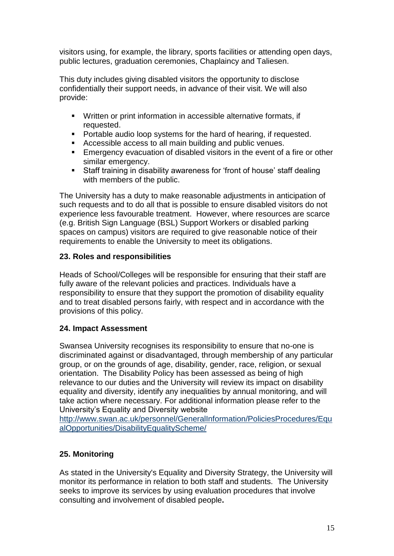visitors using, for example, the library, sports facilities or attending open days, public lectures, graduation ceremonies, Chaplaincy and Taliesen.

This duty includes giving disabled visitors the opportunity to disclose confidentially their support needs, in advance of their visit. We will also provide:

- Written or print information in accessible alternative formats, if requested.
- **Portable audio loop systems for the hard of hearing, if requested.**
- Accessible access to all main building and public venues.
- Emergency evacuation of disabled visitors in the event of a fire or other similar emergency.
- Staff training in disability awareness for 'front of house' staff dealing with members of the public.

The University has a duty to make reasonable adjustments in anticipation of such requests and to do all that is possible to ensure disabled visitors do not experience less favourable treatment. However, where resources are scarce (e.g. British Sign Language (BSL) Support Workers or disabled parking spaces on campus) visitors are required to give reasonable notice of their requirements to enable the University to meet its obligations.

# **23. Roles and responsibilities**

Heads of School/Colleges will be responsible for ensuring that their staff are fully aware of the relevant policies and practices. Individuals have a responsibility to ensure that they support the promotion of disability equality and to treat disabled persons fairly, with respect and in accordance with the provisions of this policy.

## **24. Impact Assessment**

Swansea University recognises its responsibility to ensure that no-one is discriminated against or disadvantaged, through membership of any particular group, or on the grounds of age, disability, gender, race, religion, or sexual orientation. The Disability Policy has been assessed as being of high relevance to our duties and the University will review its impact on disability equality and diversity, identify any inequalities by annual monitoring, and will take action where necessary. For additional information please refer to the University's Equality and Diversity website

[http://www.swan.ac.uk/personnel/GeneralInformation/PoliciesProcedures/Equ](http://www.swan.ac.uk/personnel/GeneralInformation/PoliciesProcedures/EqualOpportunities/DisabilityEqualityScheme/) [alOpportunities/DisabilityEqualityScheme/](http://www.swan.ac.uk/personnel/GeneralInformation/PoliciesProcedures/EqualOpportunities/DisabilityEqualityScheme/)

## **25. Monitoring**

As stated in the University's Equality and Diversity Strategy, the University will monitor its performance in relation to both staff and students. The University seeks to improve its services by using evaluation procedures that involve consulting and involvement of disabled people**.**